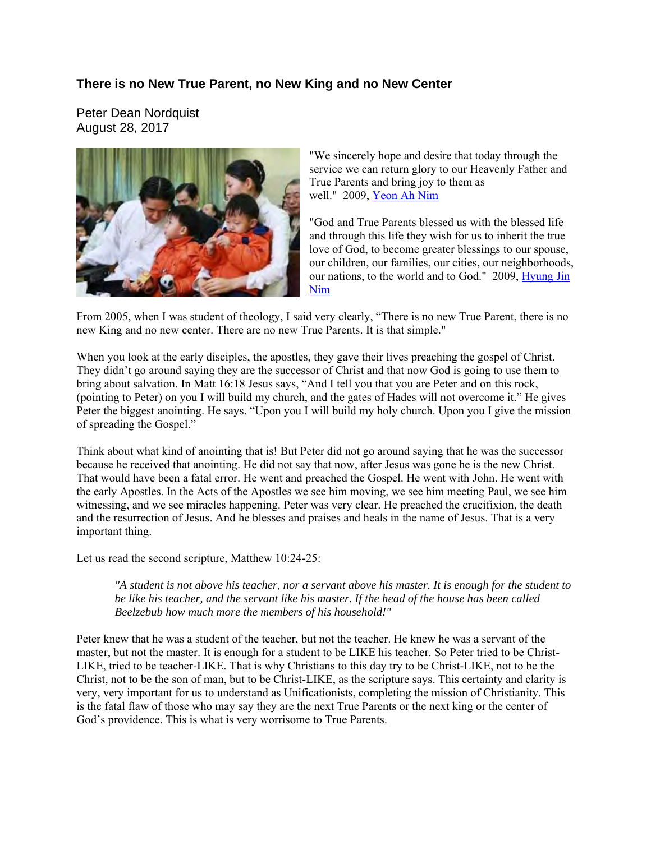## **There is no New True Parent, no New King and no New Center**

Peter Dean Nordquist August 28, 2017



"We sincerely hope and desire that today through the service we can return glory to our Heavenly Father and True Parents and bring joy to them as well." 2009, [Yeon Ah Nim](http://www.tparents.org/Moon-Talks/HyungJinMoon-09/HyungJinMoon-090912.htm)

"God and True Parents blessed us with the blessed life and through this life they wish for us to inherit the true love of God, to become greater blessings to our spouse, our children, our families, our cities, our neighborhoods, our nations, to the world and to God." 2009, [Hyung Jin](http://www.tparents.org/Moon-Talks/HyungJinMoon-09/HyungJinMoon-090912.htm)  [Nim](http://www.tparents.org/Moon-Talks/HyungJinMoon-09/HyungJinMoon-090912.htm)

From 2005, when I was student of theology, I said very clearly, "There is no new True Parent, there is no new King and no new center. There are no new True Parents. It is that simple."

When you look at the early disciples, the apostles, they gave their lives preaching the gospel of Christ. They didn't go around saying they are the successor of Christ and that now God is going to use them to bring about salvation. In Matt 16:18 Jesus says, "And I tell you that you are Peter and on this rock, (pointing to Peter) on you I will build my church, and the gates of Hades will not overcome it." He gives Peter the biggest anointing. He says. "Upon you I will build my holy church. Upon you I give the mission of spreading the Gospel."

Think about what kind of anointing that is! But Peter did not go around saying that he was the successor because he received that anointing. He did not say that now, after Jesus was gone he is the new Christ. That would have been a fatal error. He went and preached the Gospel. He went with John. He went with the early Apostles. In the Acts of the Apostles we see him moving, we see him meeting Paul, we see him witnessing, and we see miracles happening. Peter was very clear. He preached the crucifixion, the death and the resurrection of Jesus. And he blesses and praises and heals in the name of Jesus. That is a very important thing.

Let us read the second scripture, Matthew 10:24-25:

*"A student is not above his teacher, nor a servant above his master. It is enough for the student to be like his teacher, and the servant like his master. If the head of the house has been called Beelzebub how much more the members of his household!"* 

Peter knew that he was a student of the teacher, but not the teacher. He knew he was a servant of the master, but not the master. It is enough for a student to be LIKE his teacher. So Peter tried to be Christ-LIKE, tried to be teacher-LIKE. That is why Christians to this day try to be Christ-LIKE, not to be the Christ, not to be the son of man, but to be Christ-LIKE, as the scripture says. This certainty and clarity is very, very important for us to understand as Unificationists, completing the mission of Christianity. This is the fatal flaw of those who may say they are the next True Parents or the next king or the center of God's providence. This is what is very worrisome to True Parents.